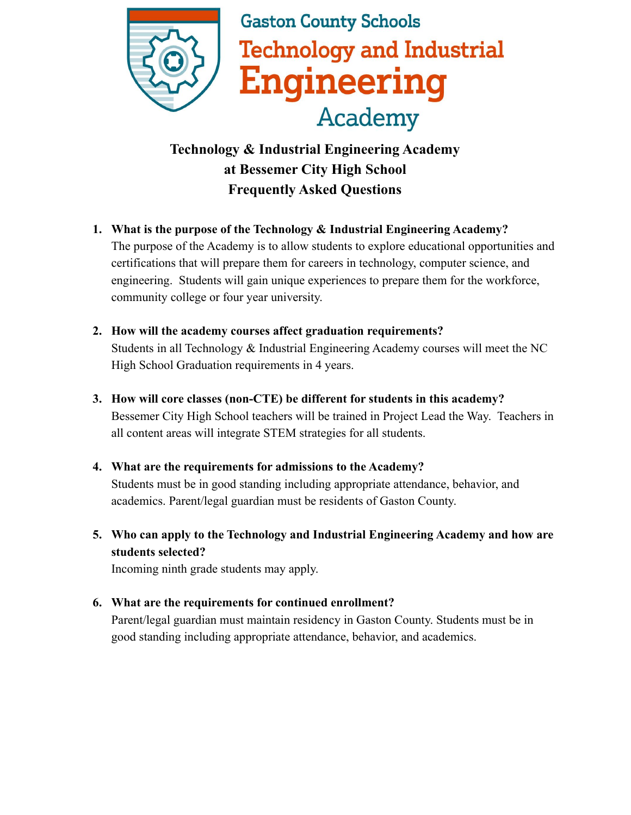

**Technology & Industrial Engineering Academy at Bessemer City High School Frequently Asked Questions**

- **1. What is the purpose of the Technology & Industrial Engineering Academy?** The purpose of the Academy is to allow students to explore educational opportunities and certifications that will prepare them for careers in technology, computer science, and engineering. Students will gain unique experiences to prepare them for the workforce, community college or four year university.
- **2. How will the academy courses affect graduation requirements?** Students in all Technology & Industrial Engineering Academy courses will meet the NC High School Graduation requirements in 4 years.
- **3. How will core classes (non-CTE) be different for students in this academy?** Bessemer City High School teachers will be trained in Project Lead the Way. Teachers in all content areas will integrate STEM strategies for all students.
- **4. What are the requirements for admissions to the Academy?** Students must be in good standing including appropriate attendance, behavior, and academics. Parent/legal guardian must be residents of Gaston County.
- **5. Who can apply to the Technology and Industrial Engineering Academy and how are students selected?**

Incoming ninth grade students may apply.

## **6. What are the requirements for continued enrollment?**

Parent/legal guardian must maintain residency in Gaston County. Students must be in good standing including appropriate attendance, behavior, and academics.